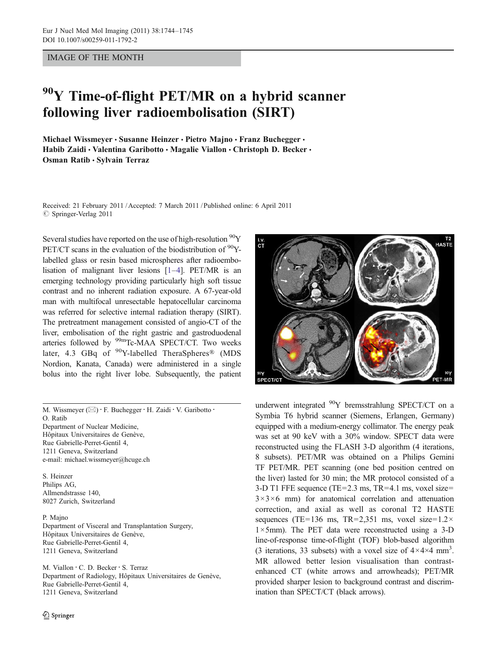IMAGE OF THE MONTH

## <sup>90</sup>Y Time-of-flight PET/MR on a hybrid scanner following liver radioembolisation (SIRT)

Michael Wissmeyer · Susanne Heinzer · Pietro Majno · Franz Buchegger · Habib Zaidi · Valentina Garibotto · Magalie Viallon · Christoph D. Becker · Osman Ratib · Sylvain Terraz

Received: 21 February 2011 /Accepted: 7 March 2011 / Published online: 6 April 2011  $\oslash$  Springer-Verlag 2011

Several studies have reported on the use of high-resolution  ${}^{90}Y$ PET/CT scans in the evaluation of the biodistribution of  $90Y$ labelled glass or resin based microspheres after radioembolisation of malignant liver lesions [[1](#page-1-0)–[4](#page-1-0)]. PET/MR is an emerging technology providing particularly high soft tissue contrast and no inherent radiation exposure. A 67-year-old man with multifocal unresectable hepatocellular carcinoma was referred for selective internal radiation therapy (SIRT). The pretreatment management consisted of angio-CT of the liver, embolisation of the right gastric and gastroduodenal arteries followed by <sup>99m</sup>Tc-MAA SPECT/CT. Two weeks later, 4.3 GBq of  $90$ Y-labelled TheraSpheres<sup>®</sup> (MDS Nordion, Kanata, Canada) were administered in a single bolus into the right liver lobe. Subsequently, the patient

M. Wissmeyer  $(\boxtimes) \cdot$  F. Buchegger  $\cdot$  H. Zaidi  $\cdot$  V. Garibotto  $\cdot$ O. Ratib Department of Nuclear Medicine, Hôpitaux Universitaires de Genève, Rue Gabrielle-Perret-Gentil 4, 1211 Geneva, Switzerland e-mail: michael.wissmeyer@hcuge.ch

S. Heinzer Philips AG, Allmendstrasse 140, 8027 Zurich, Switzerland

P. Majno Department of Visceral and Transplantation Surgery, Hôpitaux Universitaires de Genève, Rue Gabrielle-Perret-Gentil 4, 1211 Geneva, Switzerland

M. Viallon : C. D. Becker : S. Terraz Department of Radiology, Hôpitaux Universitaires de Genève, Rue Gabrielle-Perret-Gentil 4, 1211 Geneva, Switzerland



underwent integrated 90Y bremsstrahlung SPECT/CT on a Symbia T6 hybrid scanner (Siemens, Erlangen, Germany) equipped with a medium-energy collimator. The energy peak was set at 90 keV with a 30% window. SPECT data were reconstructed using the FLASH 3-D algorithm (4 iterations, 8 subsets). PET/MR was obtained on a Philips Gemini TF PET/MR. PET scanning (one bed position centred on the liver) lasted for 30 min; the MR protocol consisted of a 3-D T1 FFE sequence (TE=2.3 ms, TR=4.1 ms, voxel size=  $3 \times 3 \times 6$  mm) for anatomical correlation and attenuation correction, and axial as well as coronal T2 HASTE sequences (TE=136 ms, TR=2,351 ms, voxel size=1.2 $\times$  $1 \times 5$ mm). The PET data were reconstructed using a 3-D line-of-response time-of-flight (TOF) blob-based algorithm (3 iterations, 33 subsets) with a voxel size of  $4 \times 4 \times 4$  mm<sup>3</sup>. MR allowed better lesion visualisation than contrastenhanced CT (white arrows and arrowheads); PET/MR provided sharper lesion to background contrast and discrimination than SPECT/CT (black arrows).